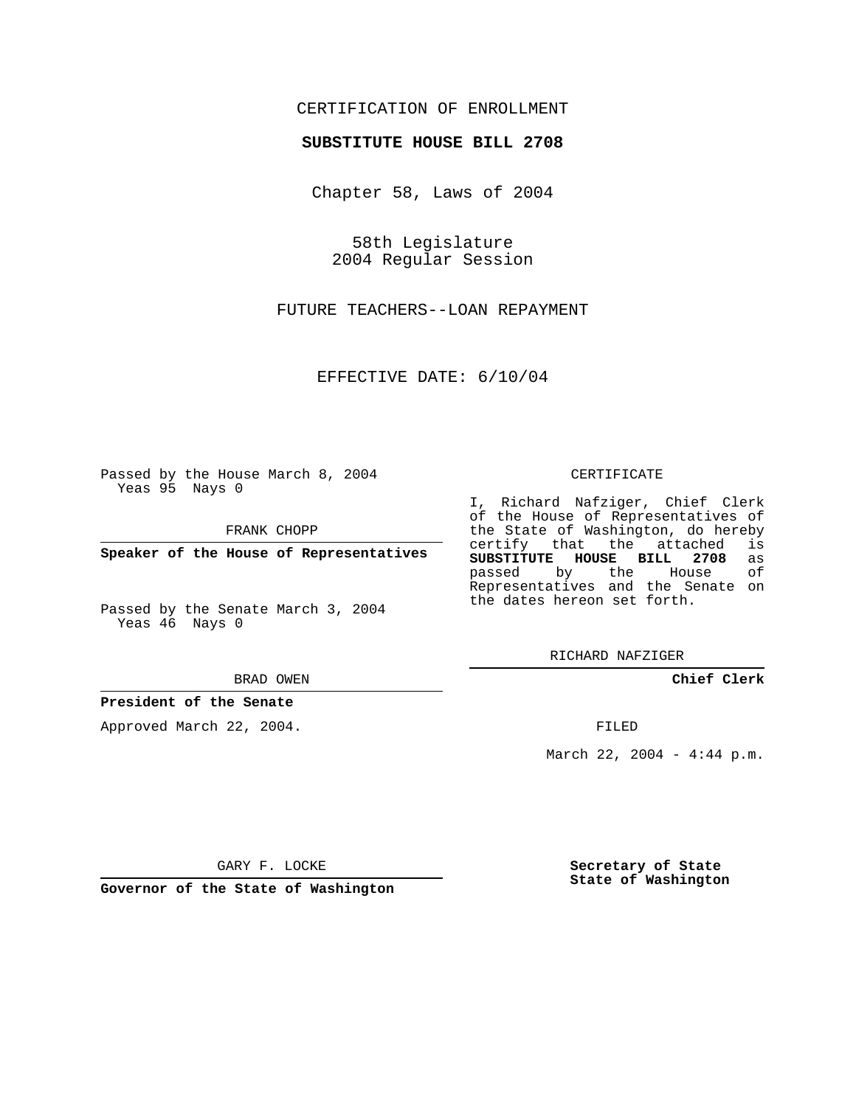## CERTIFICATION OF ENROLLMENT

### **SUBSTITUTE HOUSE BILL 2708**

Chapter 58, Laws of 2004

58th Legislature 2004 Regular Session

FUTURE TEACHERS--LOAN REPAYMENT

EFFECTIVE DATE: 6/10/04

Passed by the House March 8, 2004 Yeas 95 Nays 0

FRANK CHOPP

**Speaker of the House of Representatives**

Passed by the Senate March 3, 2004 Yeas 46 Nays 0

#### BRAD OWEN

## **President of the Senate**

Approved March 22, 2004.

#### CERTIFICATE

I, Richard Nafziger, Chief Clerk of the House of Representatives of the State of Washington, do hereby<br>certify that the attached is certify that the attached **SUBSTITUTE HOUSE BILL 2708** as passed by the House Representatives and the Senate on the dates hereon set forth.

RICHARD NAFZIGER

**Chief Clerk**

FILED

March 22, 2004 - 4:44 p.m.

GARY F. LOCKE

**Governor of the State of Washington**

**Secretary of State State of Washington**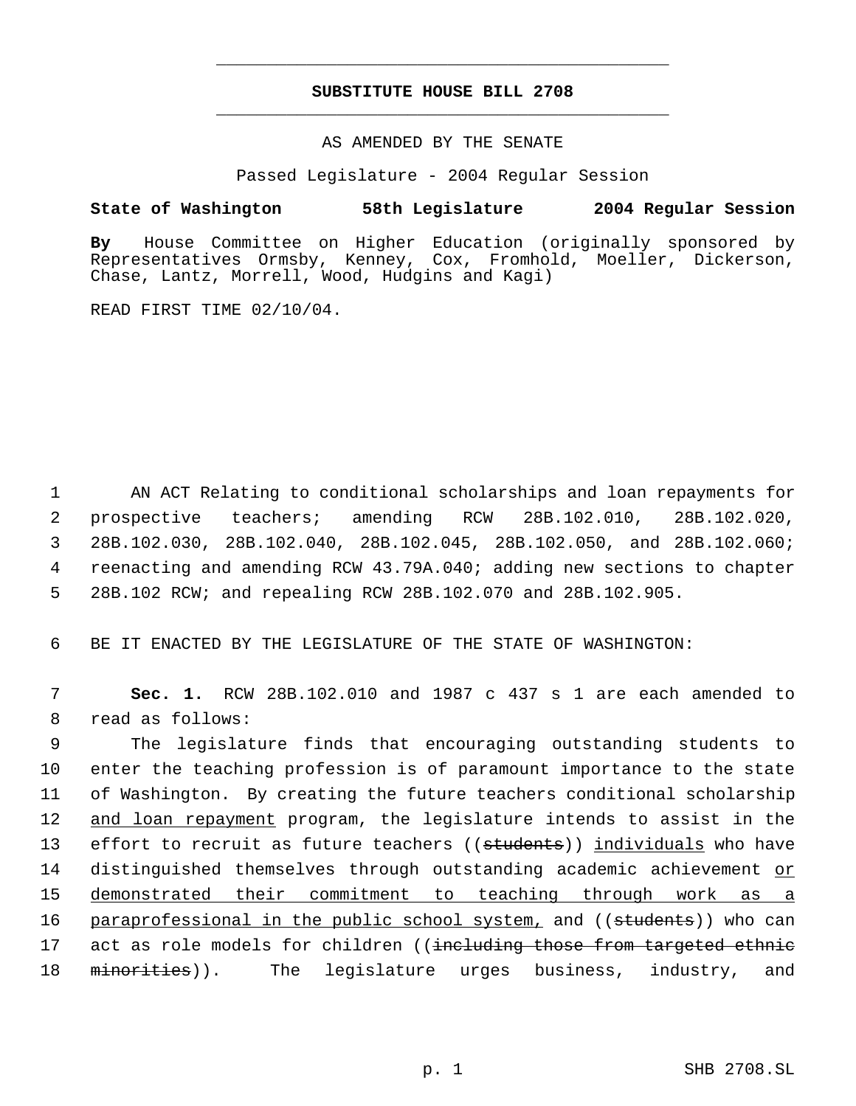# **SUBSTITUTE HOUSE BILL 2708** \_\_\_\_\_\_\_\_\_\_\_\_\_\_\_\_\_\_\_\_\_\_\_\_\_\_\_\_\_\_\_\_\_\_\_\_\_\_\_\_\_\_\_\_\_

\_\_\_\_\_\_\_\_\_\_\_\_\_\_\_\_\_\_\_\_\_\_\_\_\_\_\_\_\_\_\_\_\_\_\_\_\_\_\_\_\_\_\_\_\_

## AS AMENDED BY THE SENATE

Passed Legislature - 2004 Regular Session

## **State of Washington 58th Legislature 2004 Regular Session**

**By** House Committee on Higher Education (originally sponsored by Representatives Ormsby, Kenney, Cox, Fromhold, Moeller, Dickerson, Chase, Lantz, Morrell, Wood, Hudgins and Kagi)

READ FIRST TIME 02/10/04.

 AN ACT Relating to conditional scholarships and loan repayments for prospective teachers; amending RCW 28B.102.010, 28B.102.020, 28B.102.030, 28B.102.040, 28B.102.045, 28B.102.050, and 28B.102.060; reenacting and amending RCW 43.79A.040; adding new sections to chapter 28B.102 RCW; and repealing RCW 28B.102.070 and 28B.102.905.

6 BE IT ENACTED BY THE LEGISLATURE OF THE STATE OF WASHINGTON:

 7 **Sec. 1.** RCW 28B.102.010 and 1987 c 437 s 1 are each amended to 8 read as follows:

 9 The legislature finds that encouraging outstanding students to 10 enter the teaching profession is of paramount importance to the state 11 of Washington. By creating the future teachers conditional scholarship 12 and loan repayment program, the legislature intends to assist in the 13 effort to recruit as future teachers ((students)) individuals who have 14 distinguished themselves through outstanding academic achievement or 15 demonstrated their commitment to teaching through work as a 16 paraprofessional in the public school system, and ((students)) who can 17 act as role models for children ((including those from targeted ethnic 18 minorities)). The legislature urges business, industry, and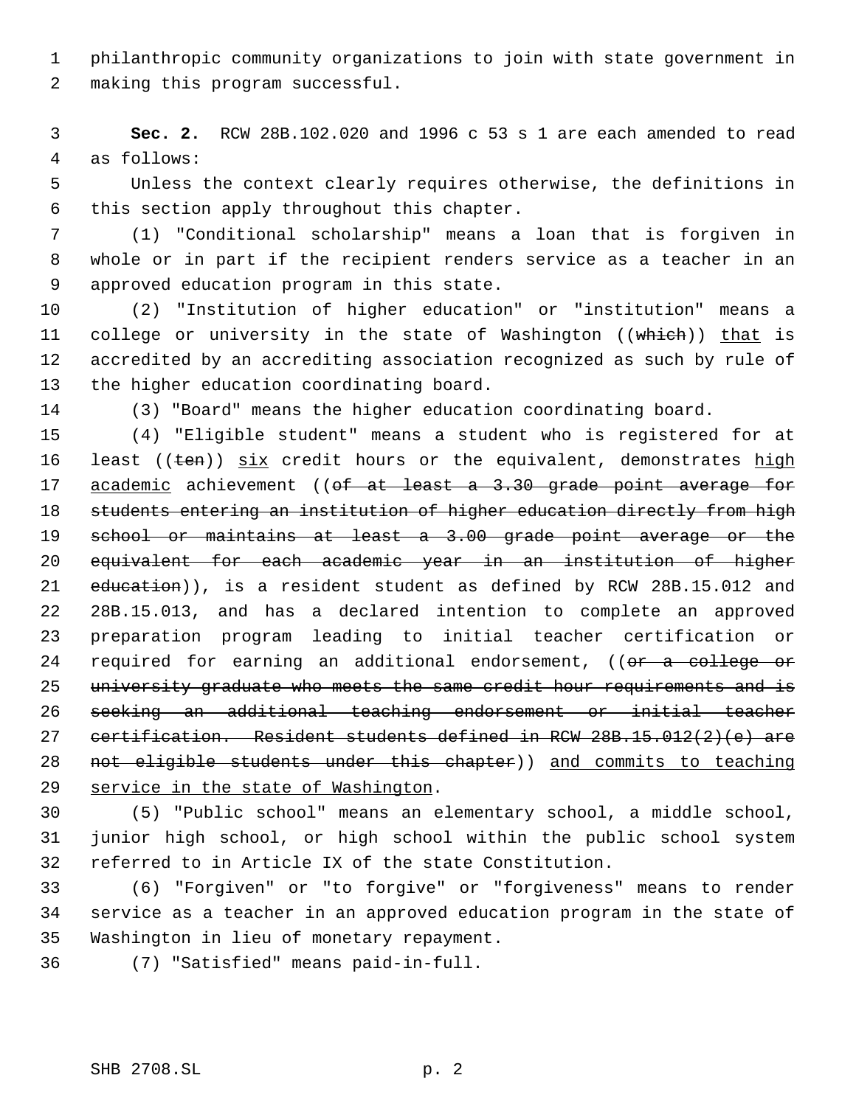philanthropic community organizations to join with state government in making this program successful.

 **Sec. 2.** RCW 28B.102.020 and 1996 c 53 s 1 are each amended to read as follows:

 Unless the context clearly requires otherwise, the definitions in this section apply throughout this chapter.

 (1) "Conditional scholarship" means a loan that is forgiven in whole or in part if the recipient renders service as a teacher in an approved education program in this state.

 (2) "Institution of higher education" or "institution" means a 11 college or university in the state of Washington ((which)) that is accredited by an accrediting association recognized as such by rule of the higher education coordinating board.

(3) "Board" means the higher education coordinating board.

 (4) "Eligible student" means a student who is registered for at 16 least ( $(\text{ten})$ )  $\frac{\text{six}}{\text{ar}}$  credit hours or the equivalent, demonstrates high 17 academic achievement ((of at least a 3.30 grade point average for 18 students entering an institution of higher education directly from high school or maintains at least a 3.00 grade point average or the equivalent for each academic year in an institution of higher 21 education)), is a resident student as defined by RCW 28B.15.012 and 28B.15.013, and has a declared intention to complete an approved preparation program leading to initial teacher certification or 24 required for earning an additional endorsement, ((or a college or 25 university graduate who meets the same credit hour requirements and is seeking an additional teaching endorsement or initial teacher certification. Resident students defined in RCW 28B.15.012(2)(e) are 28 not eligible students under this chapter)) and commits to teaching service in the state of Washington.

 (5) "Public school" means an elementary school, a middle school, junior high school, or high school within the public school system referred to in Article IX of the state Constitution.

 (6) "Forgiven" or "to forgive" or "forgiveness" means to render service as a teacher in an approved education program in the state of Washington in lieu of monetary repayment.

(7) "Satisfied" means paid-in-full.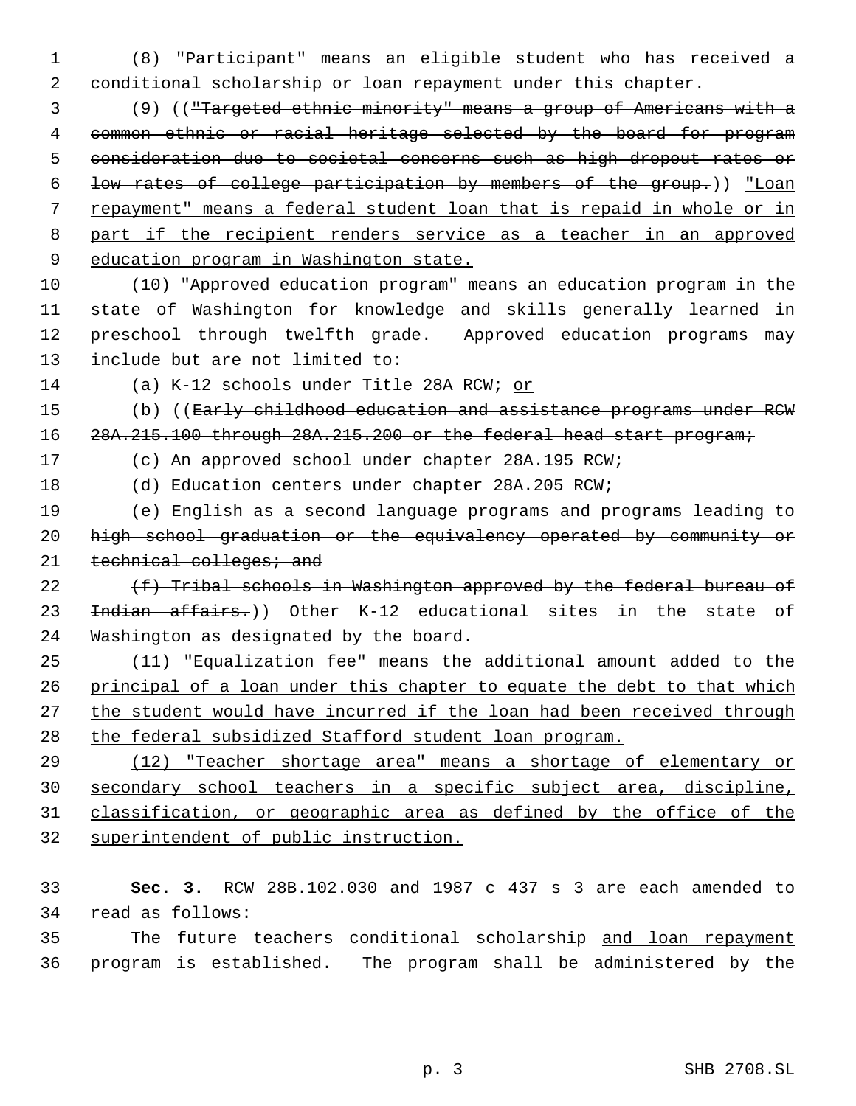(8) "Participant" means an eligible student who has received a 2 conditional scholarship or loan repayment under this chapter.

 (9) (("Targeted ethnic minority" means a group of Americans with a common ethnic or racial heritage selected by the board for program consideration due to societal concerns such as high dropout rates or low rates of college participation by members of the group.)) "Loan repayment" means a federal student loan that is repaid in whole or in part if the recipient renders service as a teacher in an approved 9 education program in Washington state.

 (10) "Approved education program" means an education program in the state of Washington for knowledge and skills generally learned in preschool through twelfth grade. Approved education programs may include but are not limited to:

(a) K-12 schools under Title 28A RCW; or

15 (b) ((Early childhood education and assistance programs under RCW

16 28A.215.100 through 28A.215.200 or the federal head start program;

17 (c) An approved school under chapter 28A.195 RCW;

18 (d) Education centers under chapter 28A.205 RCW;

 (e) English as a second language programs and programs leading to high school graduation or the equivalency operated by community or 21 technical colleges; and

 $(f)$  Tribal schools in Washington approved by the federal bureau of 23 <del>Indian affairs.</del>)) Other K-12 educational sites in the state of Washington as designated by the board.

 (11) "Equalization fee" means the additional amount added to the 26 principal of a loan under this chapter to equate the debt to that which 27 the student would have incurred if the loan had been received through 28 the federal subsidized Stafford student loan program.

 (12) "Teacher shortage area" means a shortage of elementary or secondary school teachers in a specific subject area, discipline, classification, or geographic area as defined by the office of the superintendent of public instruction.

 **Sec. 3.** RCW 28B.102.030 and 1987 c 437 s 3 are each amended to read as follows:

 The future teachers conditional scholarship and loan repayment program is established. The program shall be administered by the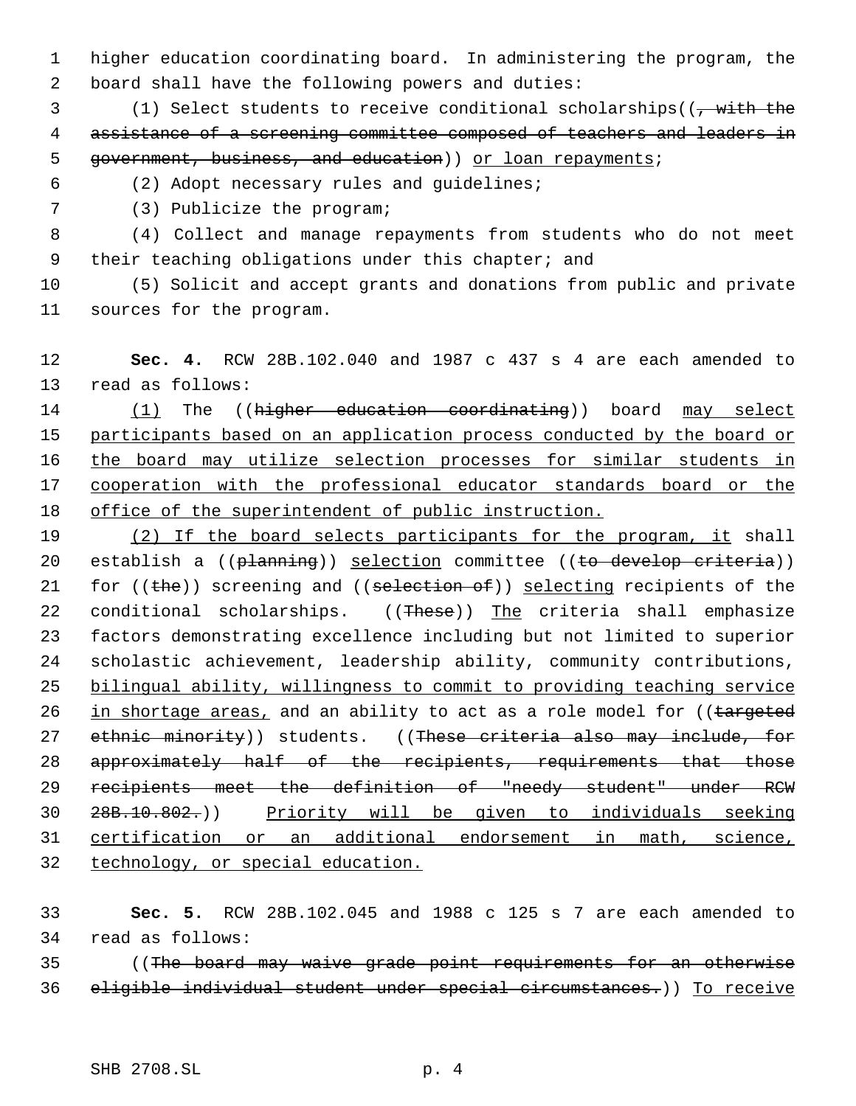higher education coordinating board. In administering the program, the board shall have the following powers and duties:

3 (1) Select students to receive conditional scholarships((, with the assistance of a screening committee composed of teachers and leaders in 5 government, business, and education)) or loan repayments;

(2) Adopt necessary rules and guidelines;

(3) Publicize the program;

 (4) Collect and manage repayments from students who do not meet 9 their teaching obligations under this chapter; and

 (5) Solicit and accept grants and donations from public and private sources for the program.

 **Sec. 4.** RCW 28B.102.040 and 1987 c 437 s 4 are each amended to read as follows:

14 (1) The ((higher education coordinating)) board may select 15 participants based on an application process conducted by the board or 16 the board may utilize selection processes for similar students in cooperation with the professional educator standards board or the office of the superintendent of public instruction.

19 (2) If the board selects participants for the program, it shall 20 establish a ((planning)) selection committee ((to develop criteria)) 21 for  $(\theta)$  screening and  $(\theta)$  selection of) selecting recipients of the 22 conditional scholarships. ((These)) The criteria shall emphasize factors demonstrating excellence including but not limited to superior scholastic achievement, leadership ability, community contributions, bilingual ability, willingness to commit to providing teaching service 26 in shortage areas, and an ability to act as a role model for ((targeted 27 ethnic minority)) students. ((These criteria also may include, for 28 approximately half of the recipients, requirements that those recipients meet the definition of "needy student" under RCW 28B.10.802.)) Priority will be given to individuals seeking certification or an additional endorsement in math, science, technology, or special education.

 **Sec. 5.** RCW 28B.102.045 and 1988 c 125 s 7 are each amended to read as follows:

 ((The board may waive grade point requirements for an otherwise eligible individual student under special circumstances.)) To receive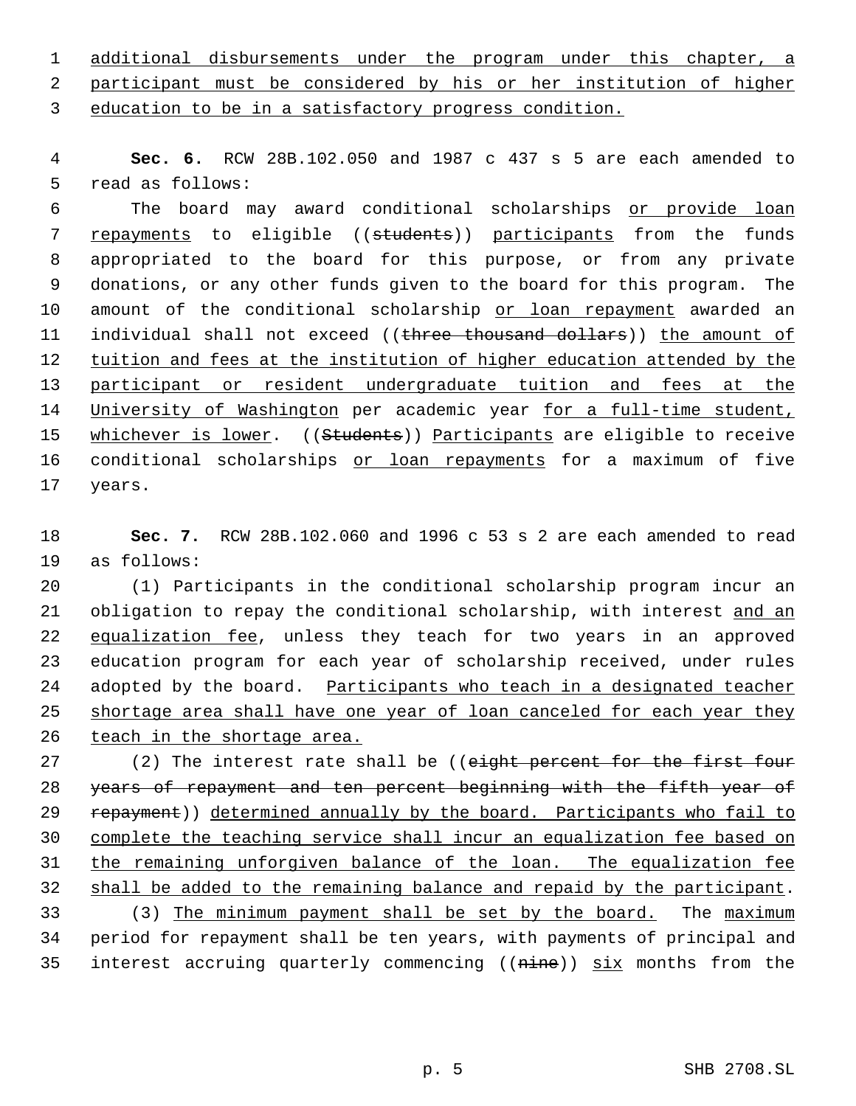1 additional disbursements under the program under this chapter, a 2 participant must be considered by his or her institution of higher 3 education to be in a satisfactory progress condition.

 4 **Sec. 6.** RCW 28B.102.050 and 1987 c 437 s 5 are each amended to 5 read as follows:

 6 The board may award conditional scholarships or provide loan 7 repayments to eligible ((students)) participants from the funds 8 appropriated to the board for this purpose, or from any private 9 donations, or any other funds given to the board for this program. The 10 amount of the conditional scholarship or loan repayment awarded an 11 individual shall not exceed ((three thousand dollars)) the amount of 12 tuition and fees at the institution of higher education attended by the 13 participant or resident undergraduate tuition and fees at the 14 University of Washington per academic year for a full-time student, 15 whichever is lower. ((Students)) Participants are eligible to receive 16 conditional scholarships or loan repayments for a maximum of five 17 years.

18 **Sec. 7.** RCW 28B.102.060 and 1996 c 53 s 2 are each amended to read 19 as follows:

20 (1) Participants in the conditional scholarship program incur an 21 obligation to repay the conditional scholarship, with interest and an 22 equalization fee, unless they teach for two years in an approved 23 education program for each year of scholarship received, under rules 24 adopted by the board. Participants who teach in a designated teacher 25 shortage area shall have one year of loan canceled for each year they 26 teach in the shortage area.

27 (2) The interest rate shall be ((eight percent for the first four 28 years of repayment and ten percent beginning with the fifth year of 29 repayment)) determined annually by the board. Participants who fail to 30 complete the teaching service shall incur an equalization fee based on 31 the remaining unforgiven balance of the loan. The equalization fee 32 shall be added to the remaining balance and repaid by the participant. 33 (3) The minimum payment shall be set by the board. The maximum

34 period for repayment shall be ten years, with payments of principal and 35 interest accruing quarterly commencing ((nine)) six months from the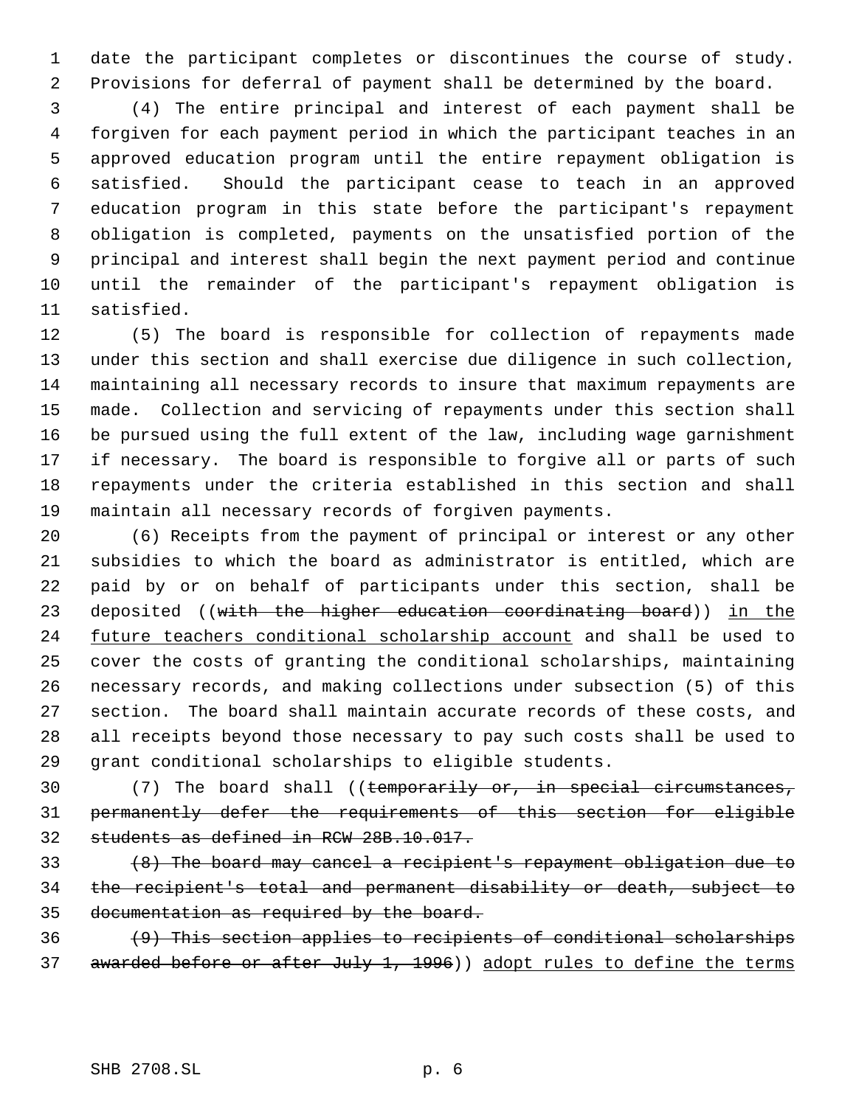date the participant completes or discontinues the course of study. Provisions for deferral of payment shall be determined by the board.

 (4) The entire principal and interest of each payment shall be forgiven for each payment period in which the participant teaches in an approved education program until the entire repayment obligation is satisfied. Should the participant cease to teach in an approved education program in this state before the participant's repayment obligation is completed, payments on the unsatisfied portion of the principal and interest shall begin the next payment period and continue until the remainder of the participant's repayment obligation is satisfied.

 (5) The board is responsible for collection of repayments made under this section and shall exercise due diligence in such collection, maintaining all necessary records to insure that maximum repayments are made. Collection and servicing of repayments under this section shall be pursued using the full extent of the law, including wage garnishment if necessary. The board is responsible to forgive all or parts of such repayments under the criteria established in this section and shall maintain all necessary records of forgiven payments.

 (6) Receipts from the payment of principal or interest or any other subsidies to which the board as administrator is entitled, which are paid by or on behalf of participants under this section, shall be 23 deposited ((with the higher education coordinating board)) in the 24 future teachers conditional scholarship account and shall be used to cover the costs of granting the conditional scholarships, maintaining necessary records, and making collections under subsection (5) of this section. The board shall maintain accurate records of these costs, and all receipts beyond those necessary to pay such costs shall be used to grant conditional scholarships to eligible students.

 (7) The board shall ((temporarily or, in special circumstances, permanently defer the requirements of this section for eligible students as defined in RCW 28B.10.017.

 (8) The board may cancel a recipient's repayment obligation due to the recipient's total and permanent disability or death, subject to documentation as required by the board.

 $(9)$  This section applies to recipients of conditional scholarships 37 awarded before or after July 1, 1996)) adopt rules to define the terms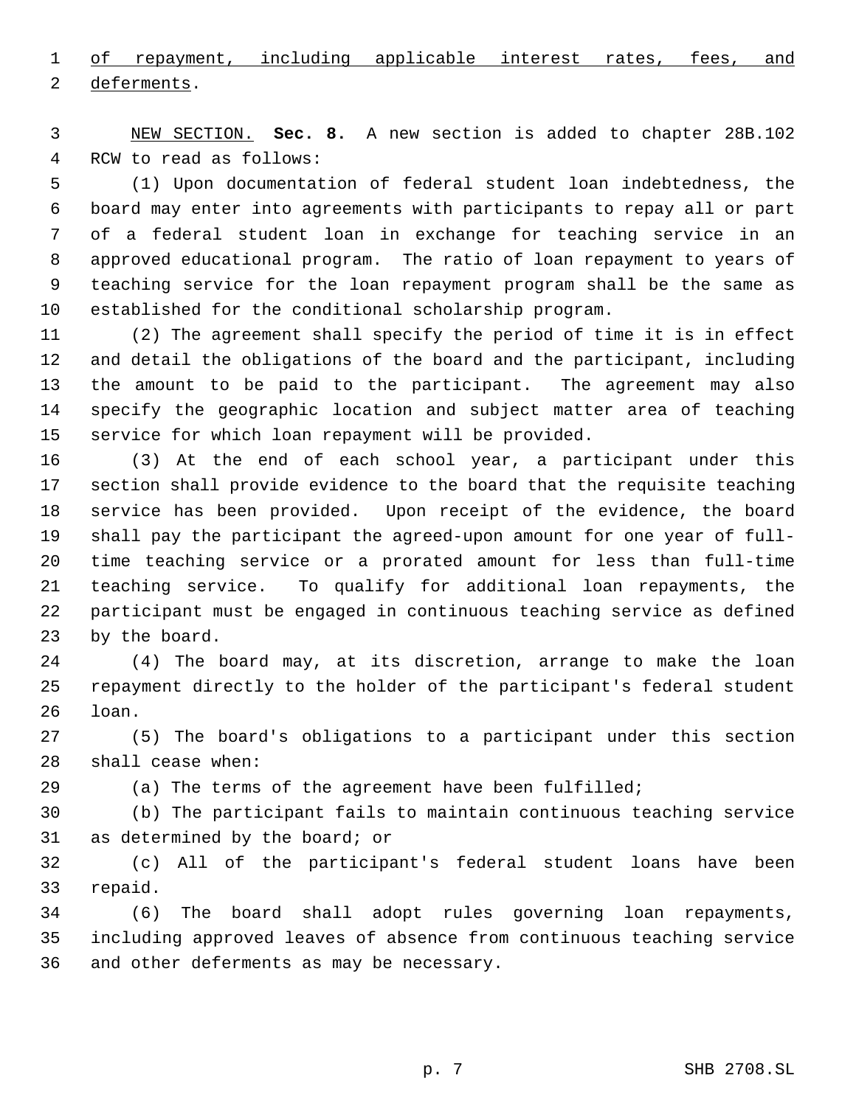1 of repayment, including applicable interest rates, fees, and 2 deferments.

 NEW SECTION. **Sec. 8.** A new section is added to chapter 28B.102 RCW to read as follows:

 (1) Upon documentation of federal student loan indebtedness, the board may enter into agreements with participants to repay all or part of a federal student loan in exchange for teaching service in an approved educational program. The ratio of loan repayment to years of teaching service for the loan repayment program shall be the same as established for the conditional scholarship program.

 (2) The agreement shall specify the period of time it is in effect and detail the obligations of the board and the participant, including the amount to be paid to the participant. The agreement may also specify the geographic location and subject matter area of teaching service for which loan repayment will be provided.

 (3) At the end of each school year, a participant under this section shall provide evidence to the board that the requisite teaching service has been provided. Upon receipt of the evidence, the board shall pay the participant the agreed-upon amount for one year of full- time teaching service or a prorated amount for less than full-time teaching service. To qualify for additional loan repayments, the participant must be engaged in continuous teaching service as defined by the board.

 (4) The board may, at its discretion, arrange to make the loan repayment directly to the holder of the participant's federal student loan.

 (5) The board's obligations to a participant under this section shall cease when:

(a) The terms of the agreement have been fulfilled;

 (b) The participant fails to maintain continuous teaching service as determined by the board; or

 (c) All of the participant's federal student loans have been repaid.

 (6) The board shall adopt rules governing loan repayments, including approved leaves of absence from continuous teaching service and other deferments as may be necessary.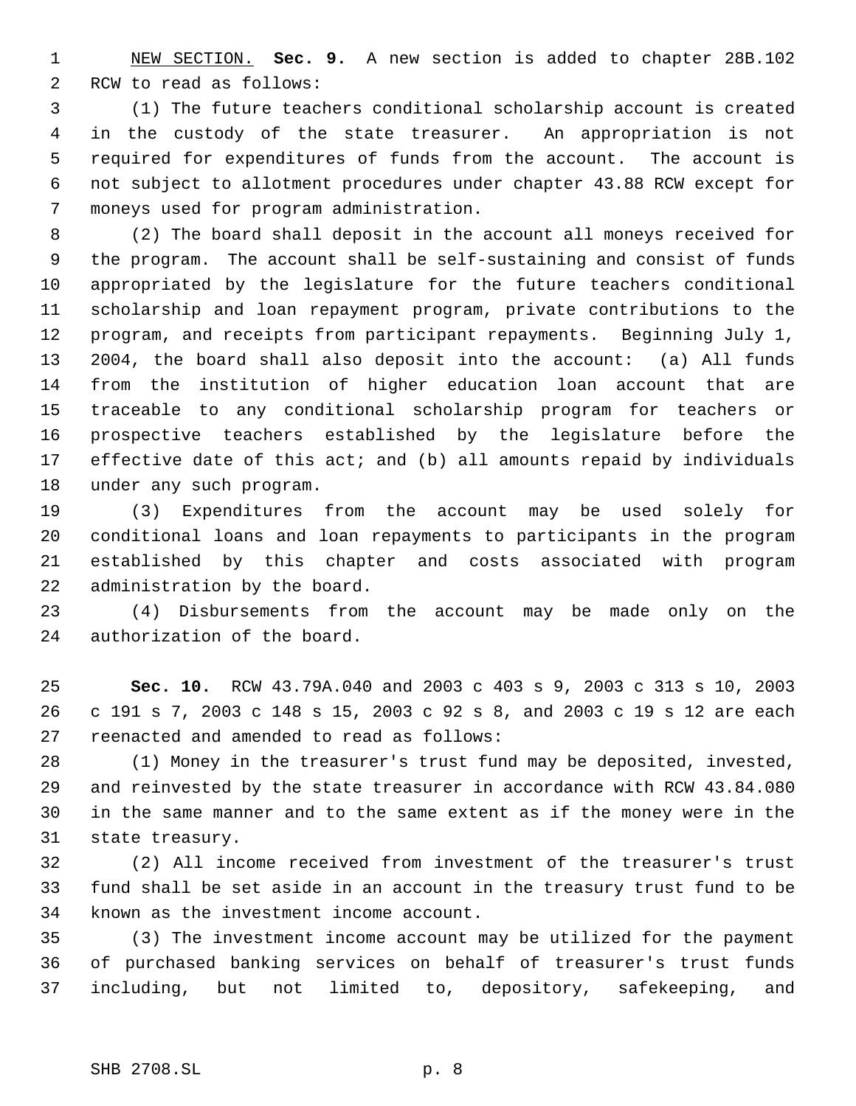NEW SECTION. **Sec. 9.** A new section is added to chapter 28B.102 RCW to read as follows:

 (1) The future teachers conditional scholarship account is created in the custody of the state treasurer. An appropriation is not required for expenditures of funds from the account. The account is not subject to allotment procedures under chapter 43.88 RCW except for moneys used for program administration.

 (2) The board shall deposit in the account all moneys received for the program. The account shall be self-sustaining and consist of funds appropriated by the legislature for the future teachers conditional scholarship and loan repayment program, private contributions to the program, and receipts from participant repayments. Beginning July 1, 2004, the board shall also deposit into the account: (a) All funds from the institution of higher education loan account that are traceable to any conditional scholarship program for teachers or prospective teachers established by the legislature before the effective date of this act; and (b) all amounts repaid by individuals under any such program.

 (3) Expenditures from the account may be used solely for conditional loans and loan repayments to participants in the program established by this chapter and costs associated with program administration by the board.

 (4) Disbursements from the account may be made only on the authorization of the board.

 **Sec. 10.** RCW 43.79A.040 and 2003 c 403 s 9, 2003 c 313 s 10, 2003 c 191 s 7, 2003 c 148 s 15, 2003 c 92 s 8, and 2003 c 19 s 12 are each reenacted and amended to read as follows:

 (1) Money in the treasurer's trust fund may be deposited, invested, and reinvested by the state treasurer in accordance with RCW 43.84.080 in the same manner and to the same extent as if the money were in the state treasury.

 (2) All income received from investment of the treasurer's trust fund shall be set aside in an account in the treasury trust fund to be known as the investment income account.

 (3) The investment income account may be utilized for the payment of purchased banking services on behalf of treasurer's trust funds including, but not limited to, depository, safekeeping, and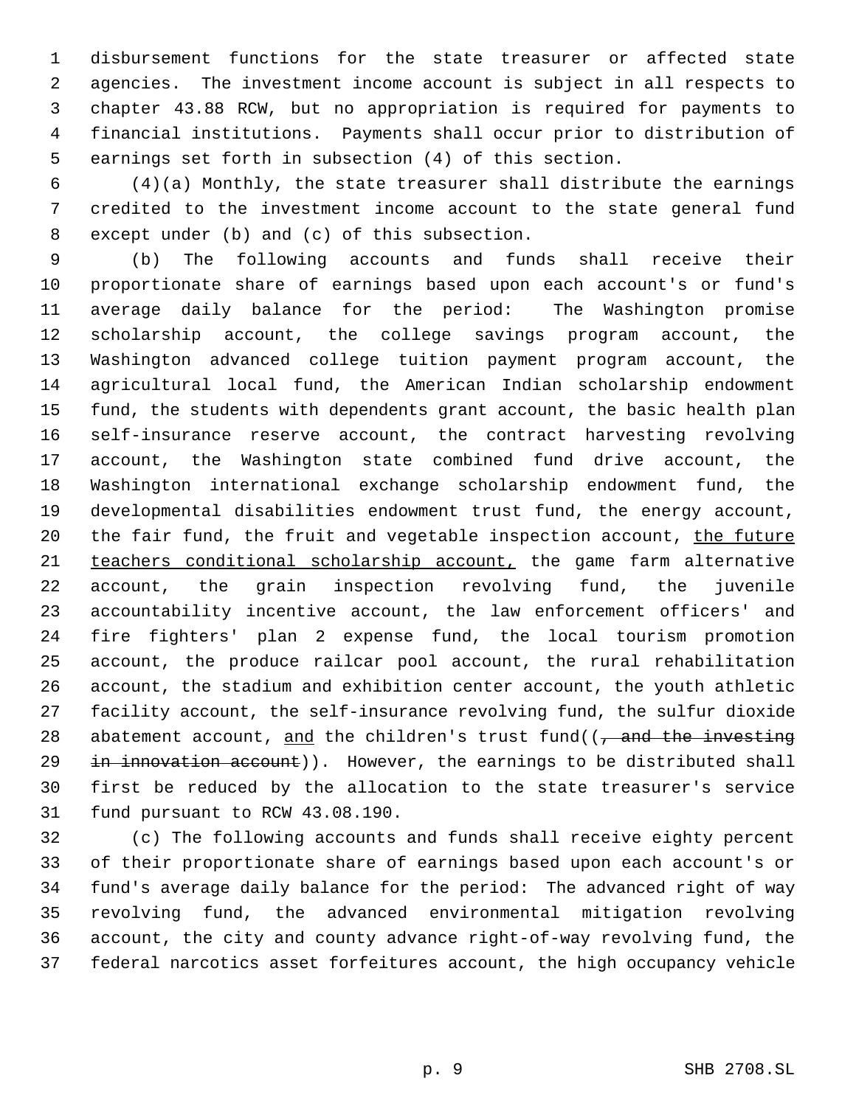disbursement functions for the state treasurer or affected state agencies. The investment income account is subject in all respects to chapter 43.88 RCW, but no appropriation is required for payments to financial institutions. Payments shall occur prior to distribution of earnings set forth in subsection (4) of this section.

 (4)(a) Monthly, the state treasurer shall distribute the earnings credited to the investment income account to the state general fund except under (b) and (c) of this subsection.

 (b) The following accounts and funds shall receive their proportionate share of earnings based upon each account's or fund's average daily balance for the period: The Washington promise scholarship account, the college savings program account, the Washington advanced college tuition payment program account, the agricultural local fund, the American Indian scholarship endowment fund, the students with dependents grant account, the basic health plan self-insurance reserve account, the contract harvesting revolving account, the Washington state combined fund drive account, the Washington international exchange scholarship endowment fund, the developmental disabilities endowment trust fund, the energy account, 20 the fair fund, the fruit and vegetable inspection account, the future teachers conditional scholarship account, the game farm alternative account, the grain inspection revolving fund, the juvenile accountability incentive account, the law enforcement officers' and fire fighters' plan 2 expense fund, the local tourism promotion account, the produce railcar pool account, the rural rehabilitation account, the stadium and exhibition center account, the youth athletic facility account, the self-insurance revolving fund, the sulfur dioxide 28 abatement account, and the children's trust fund( $\frac{1}{2}$  and the investing 29 in innovation account)). However, the earnings to be distributed shall first be reduced by the allocation to the state treasurer's service fund pursuant to RCW 43.08.190.

 (c) The following accounts and funds shall receive eighty percent of their proportionate share of earnings based upon each account's or fund's average daily balance for the period: The advanced right of way revolving fund, the advanced environmental mitigation revolving account, the city and county advance right-of-way revolving fund, the federal narcotics asset forfeitures account, the high occupancy vehicle